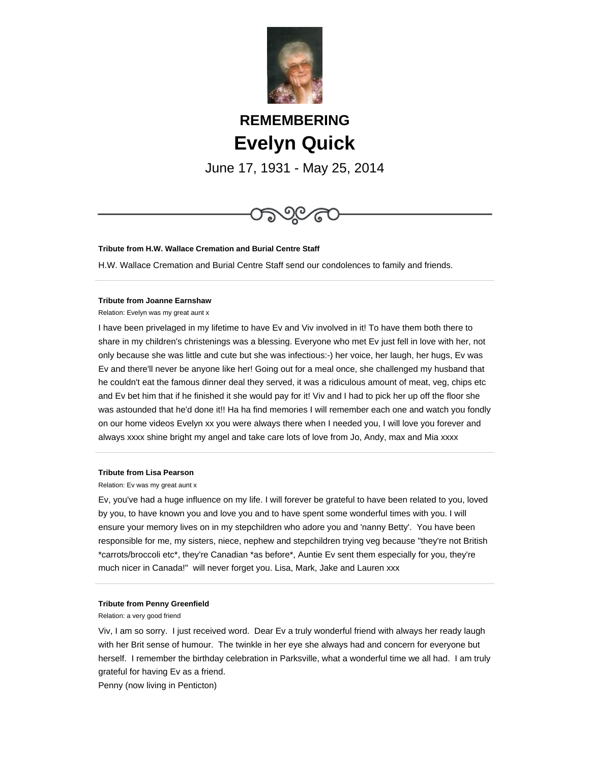

# **REMEMBERING Evelyn Quick**

June 17, 1931 - May 25, 2014



### **Tribute from H.W. Wallace Cremation and Burial Centre Staff**

H.W. Wallace Cremation and Burial Centre Staff send our condolences to family and friends.

### **Tribute from Joanne Earnshaw**

Relation: Evelyn was my great aunt x

I have been privelaged in my lifetime to have Ev and Viv involved in it! To have them both there to share in my children's christenings was a blessing. Everyone who met Ev just fell in love with her, not only because she was little and cute but she was infectious:-) her voice, her laugh, her hugs, Ev was Ev and there'll never be anyone like her! Going out for a meal once, she challenged my husband that he couldn't eat the famous dinner deal they served, it was a ridiculous amount of meat, veg, chips etc and Ev bet him that if he finished it she would pay for it! Viv and I had to pick her up off the floor she was astounded that he'd done it!! Ha ha find memories I will remember each one and watch you fondly on our home videos Evelyn xx you were always there when I needed you, I will love you forever and always xxxx shine bright my angel and take care lots of love from Jo, Andy, max and Mia xxxx

### **Tribute from Lisa Pearson**

Relation: Ev was my great aunt x

Ev, you've had a huge influence on my life. I will forever be grateful to have been related to you, loved by you, to have known you and love you and to have spent some wonderful times with you. I will ensure your memory lives on in my stepchildren who adore you and 'nanny Betty'. You have been responsible for me, my sisters, niece, nephew and stepchildren trying veg because "they're not British \*carrots/broccoli etc\*, they're Canadian \*as before\*, Auntie Ev sent them especially for you, they're much nicer in Canada!" will never forget you. Lisa, Mark, Jake and Lauren xxx

## **Tribute from Penny Greenfield**

Relation: a very good friend

Viv, I am so sorry. I just received word. Dear Ev a truly wonderful friend with always her ready laugh with her Brit sense of humour. The twinkle in her eye she always had and concern for everyone but herself. I remember the birthday celebration in Parksville, what a wonderful time we all had. I am truly grateful for having Ev as a friend.

Penny (now living in Penticton)